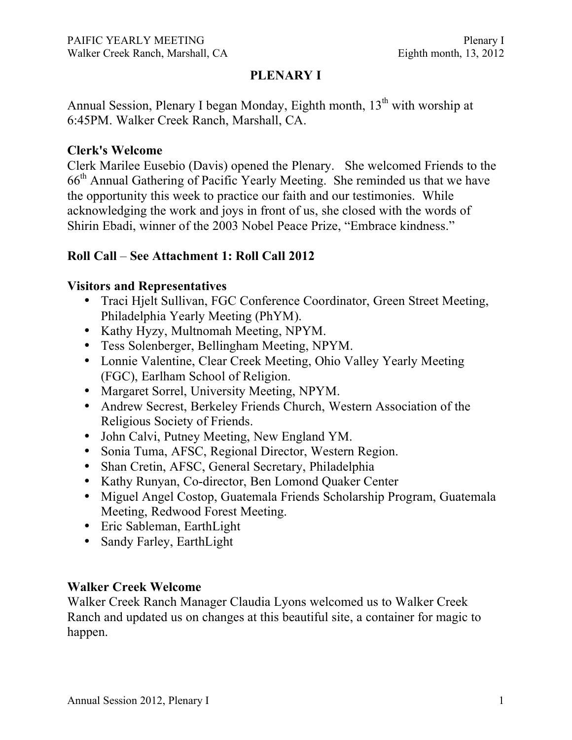# **PLENARY I**

Annual Session, Plenary I began Monday, Eighth month,  $13<sup>th</sup>$  with worship at 6:45PM. Walker Creek Ranch, Marshall, CA.

### **Clerk's Welcome**

Clerk Marilee Eusebio (Davis) opened the Plenary. She welcomed Friends to the 66th Annual Gathering of Pacific Yearly Meeting. She reminded us that we have the opportunity this week to practice our faith and our testimonies. While acknowledging the work and joys in front of us, she closed with the words of Shirin Ebadi, winner of the 2003 Nobel Peace Prize, "Embrace kindness."

# **Roll Call** – **See Attachment 1: Roll Call 2012**

### **Visitors and Representatives**

- Traci Hjelt Sullivan, FGC Conference Coordinator, Green Street Meeting, Philadelphia Yearly Meeting (PhYM).
- Kathy Hyzy, Multnomah Meeting, NPYM.
- Tess Solenberger, Bellingham Meeting, NPYM.
- Lonnie Valentine, Clear Creek Meeting, Ohio Valley Yearly Meeting (FGC), Earlham School of Religion.
- Margaret Sorrel, University Meeting, NPYM.
- Andrew Secrest, Berkeley Friends Church, Western Association of the Religious Society of Friends.
- John Calvi, Putney Meeting, New England YM.
- Sonia Tuma, AFSC, Regional Director, Western Region.
- Shan Cretin, AFSC, General Secretary, Philadelphia
- Kathy Runyan, Co-director, Ben Lomond Quaker Center
- Miguel Angel Costop, Guatemala Friends Scholarship Program, Guatemala Meeting, Redwood Forest Meeting.
- Eric Sableman, EarthLight
- Sandy Farley, EarthLight

### **Walker Creek Welcome**

Walker Creek Ranch Manager Claudia Lyons welcomed us to Walker Creek Ranch and updated us on changes at this beautiful site, a container for magic to happen.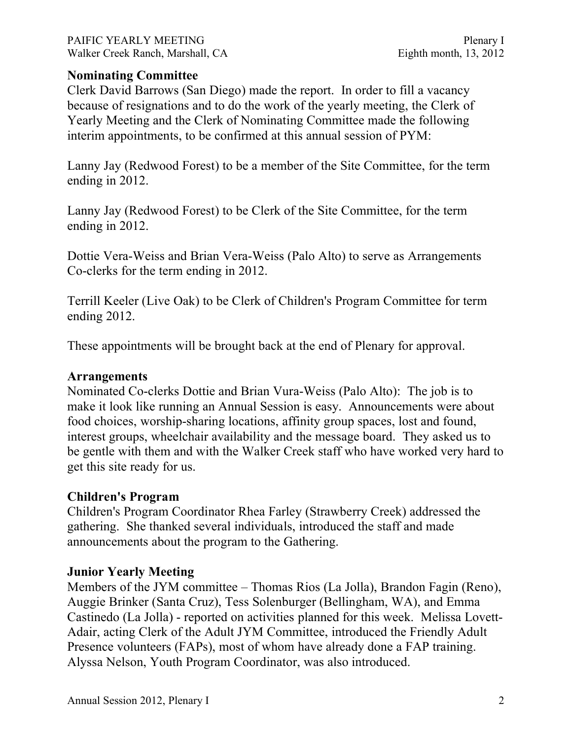PAIFIC YEARLY MEETING PAIFIC YEARLY MEETING Walker Creek Ranch, Marshall, CA Eighth month, 13, 2012

### **Nominating Committee**

Clerk David Barrows (San Diego) made the report. In order to fill a vacancy because of resignations and to do the work of the yearly meeting, the Clerk of Yearly Meeting and the Clerk of Nominating Committee made the following interim appointments, to be confirmed at this annual session of PYM:

Lanny Jay (Redwood Forest) to be a member of the Site Committee, for the term ending in 2012.

Lanny Jay (Redwood Forest) to be Clerk of the Site Committee, for the term ending in 2012.

Dottie Vera-Weiss and Brian Vera-Weiss (Palo Alto) to serve as Arrangements Co-clerks for the term ending in 2012.

Terrill Keeler (Live Oak) to be Clerk of Children's Program Committee for term ending 2012.

These appointments will be brought back at the end of Plenary for approval.

#### **Arrangements**

Nominated Co-clerks Dottie and Brian Vura-Weiss (Palo Alto): The job is to make it look like running an Annual Session is easy. Announcements were about food choices, worship-sharing locations, affinity group spaces, lost and found, interest groups, wheelchair availability and the message board. They asked us to be gentle with them and with the Walker Creek staff who have worked very hard to get this site ready for us.

#### **Children's Program**

Children's Program Coordinator Rhea Farley (Strawberry Creek) addressed the gathering. She thanked several individuals, introduced the staff and made announcements about the program to the Gathering.

#### **Junior Yearly Meeting**

Members of the JYM committee – Thomas Rios (La Jolla), Brandon Fagin (Reno), Auggie Brinker (Santa Cruz), Tess Solenburger (Bellingham, WA), and Emma Castinedo (La Jolla) - reported on activities planned for this week. Melissa Lovett-Adair, acting Clerk of the Adult JYM Committee, introduced the Friendly Adult Presence volunteers (FAPs), most of whom have already done a FAP training. Alyssa Nelson, Youth Program Coordinator, was also introduced.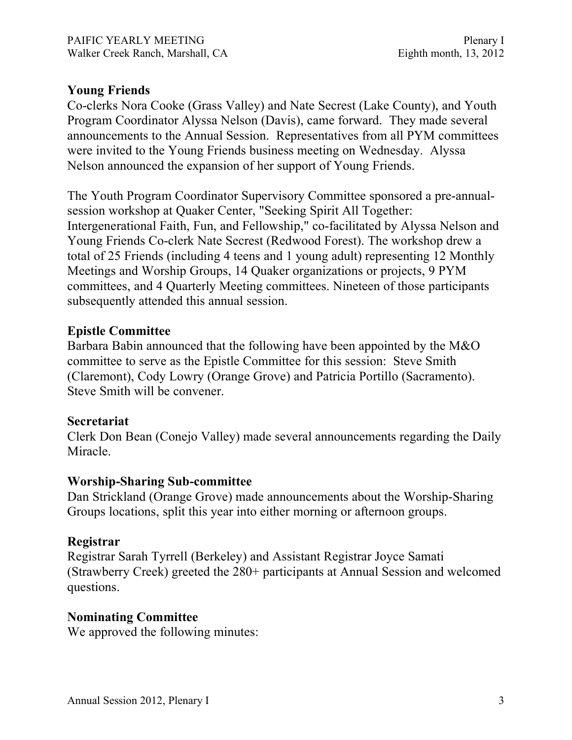### **Young Friends**

Co-clerks Nora Cooke (Grass Valley) and Nate Secrest (Lake County), and Youth Program Coordinator Alyssa Nelson (Davis), came forward. They made several announcements to the Annual Session. Representatives from all PYM committees were invited to the Young Friends business meeting on Wednesday. Alyssa Nelson announced the expansion of her support of Young Friends.

The Youth Program Coordinator Supervisory Committee sponsored a pre-annualsession workshop at Quaker Center, "Seeking Spirit All Together: Intergenerational Faith, Fun, and Fellowship," co-facilitated by Alyssa Nelson and Young Friends Co-clerk Nate Secrest (Redwood Forest). The workshop drew a total of 25 Friends (including 4 teens and 1 young adult) representing 12 Monthly Meetings and Worship Groups, 14 Quaker organizations or projects, 9 PYM committees, and 4 Quarterly Meeting committees. Nineteen of those participants subsequently attended this annual session.

## **Epistle Committee**

Barbara Babin announced that the following have been appointed by the M&O committee to serve as the Epistle Committee for this session: Steve Smith (Claremont), Cody Lowry (Orange Grove) and Patricia Portillo (Sacramento). Steve Smith will be convener.

### **Secretariat**

Clerk Don Bean (Conejo Valley) made several announcements regarding the Daily Miracle.

### **Worship-Sharing Sub-committee**

Dan Strickland (Orange Grove) made announcements about the Worship-Sharing Groups locations, split this year into either morning or afternoon groups.

### **Registrar**

Registrar Sarah Tyrrell (Berkeley) and Assistant Registrar Joyce Samati (Strawberry Creek) greeted the 280+ participants at Annual Session and welcomed questions.

### **Nominating Committee**

We approved the following minutes: